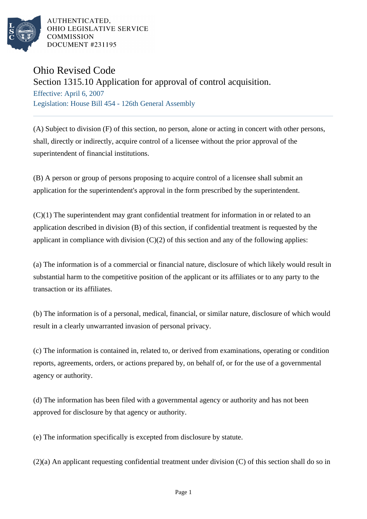

AUTHENTICATED. OHIO LEGISLATIVE SERVICE **COMMISSION DOCUMENT #231195** 

## Ohio Revised Code

Section 1315.10 Application for approval of control acquisition.

Effective: April 6, 2007 Legislation: House Bill 454 - 126th General Assembly

(A) Subject to division (F) of this section, no person, alone or acting in concert with other persons, shall, directly or indirectly, acquire control of a licensee without the prior approval of the superintendent of financial institutions.

(B) A person or group of persons proposing to acquire control of a licensee shall submit an application for the superintendent's approval in the form prescribed by the superintendent.

(C)(1) The superintendent may grant confidential treatment for information in or related to an application described in division (B) of this section, if confidential treatment is requested by the applicant in compliance with division  $(C)(2)$  of this section and any of the following applies:

(a) The information is of a commercial or financial nature, disclosure of which likely would result in substantial harm to the competitive position of the applicant or its affiliates or to any party to the transaction or its affiliates.

(b) The information is of a personal, medical, financial, or similar nature, disclosure of which would result in a clearly unwarranted invasion of personal privacy.

(c) The information is contained in, related to, or derived from examinations, operating or condition reports, agreements, orders, or actions prepared by, on behalf of, or for the use of a governmental agency or authority.

(d) The information has been filed with a governmental agency or authority and has not been approved for disclosure by that agency or authority.

(e) The information specifically is excepted from disclosure by statute.

(2)(a) An applicant requesting confidential treatment under division (C) of this section shall do so in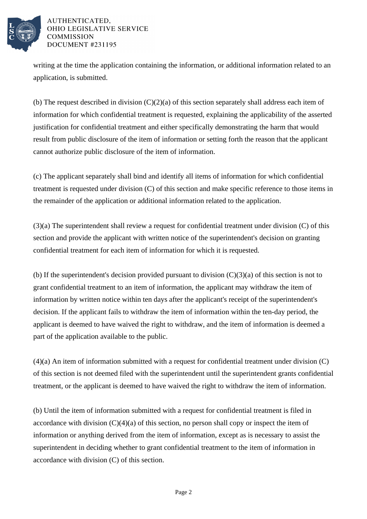

## AUTHENTICATED. OHIO LEGISLATIVE SERVICE **COMMISSION DOCUMENT #231195**

writing at the time the application containing the information, or additional information related to an application, is submitted.

(b) The request described in division  $(C)(2)(a)$  of this section separately shall address each item of information for which confidential treatment is requested, explaining the applicability of the asserted justification for confidential treatment and either specifically demonstrating the harm that would result from public disclosure of the item of information or setting forth the reason that the applicant cannot authorize public disclosure of the item of information.

(c) The applicant separately shall bind and identify all items of information for which confidential treatment is requested under division (C) of this section and make specific reference to those items in the remainder of the application or additional information related to the application.

(3)(a) The superintendent shall review a request for confidential treatment under division (C) of this section and provide the applicant with written notice of the superintendent's decision on granting confidential treatment for each item of information for which it is requested.

(b) If the superintendent's decision provided pursuant to division  $(C)(3)(a)$  of this section is not to grant confidential treatment to an item of information, the applicant may withdraw the item of information by written notice within ten days after the applicant's receipt of the superintendent's decision. If the applicant fails to withdraw the item of information within the ten-day period, the applicant is deemed to have waived the right to withdraw, and the item of information is deemed a part of the application available to the public.

(4)(a) An item of information submitted with a request for confidential treatment under division (C) of this section is not deemed filed with the superintendent until the superintendent grants confidential treatment, or the applicant is deemed to have waived the right to withdraw the item of information.

(b) Until the item of information submitted with a request for confidential treatment is filed in accordance with division  $(C)(4)(a)$  of this section, no person shall copy or inspect the item of information or anything derived from the item of information, except as is necessary to assist the superintendent in deciding whether to grant confidential treatment to the item of information in accordance with division (C) of this section.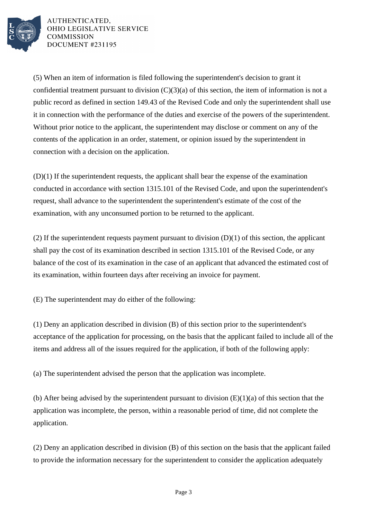

AUTHENTICATED, OHIO LEGISLATIVE SERVICE **COMMISSION DOCUMENT #231195** 

(5) When an item of information is filed following the superintendent's decision to grant it confidential treatment pursuant to division  $(C)(3)(a)$  of this section, the item of information is not a public record as defined in section 149.43 of the Revised Code and only the superintendent shall use it in connection with the performance of the duties and exercise of the powers of the superintendent. Without prior notice to the applicant, the superintendent may disclose or comment on any of the contents of the application in an order, statement, or opinion issued by the superintendent in connection with a decision on the application.

(D)(1) If the superintendent requests, the applicant shall bear the expense of the examination conducted in accordance with section 1315.101 of the Revised Code, and upon the superintendent's request, shall advance to the superintendent the superintendent's estimate of the cost of the examination, with any unconsumed portion to be returned to the applicant.

(2) If the superintendent requests payment pursuant to division  $(D)(1)$  of this section, the applicant shall pay the cost of its examination described in section 1315.101 of the Revised Code, or any balance of the cost of its examination in the case of an applicant that advanced the estimated cost of its examination, within fourteen days after receiving an invoice for payment.

(E) The superintendent may do either of the following:

(1) Deny an application described in division (B) of this section prior to the superintendent's acceptance of the application for processing, on the basis that the applicant failed to include all of the items and address all of the issues required for the application, if both of the following apply:

(a) The superintendent advised the person that the application was incomplete.

(b) After being advised by the superintendent pursuant to division  $(E)(1)(a)$  of this section that the application was incomplete, the person, within a reasonable period of time, did not complete the application.

(2) Deny an application described in division (B) of this section on the basis that the applicant failed to provide the information necessary for the superintendent to consider the application adequately